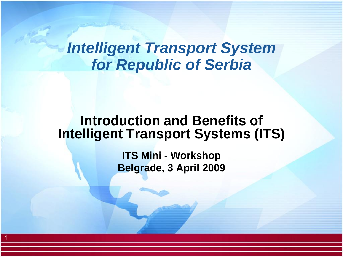### *Intelligent Transport System for Republic of Serbia*

#### **Introduction and Benefits of Intelligent Transport Systems (ITS)**

**ITS Mini - Workshop Belgrade, 3 April 2009**

1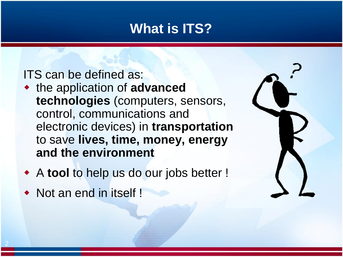### **What is ITS?**

#### ITS can be defined as:

- the application of **advanced technologies** (computers, sensors, control, communications and electronic devices) in **transportation** to save **lives, time, money, energy and the environment**
- A **tool** to help us do our jobs better !
- Not an end in itself !

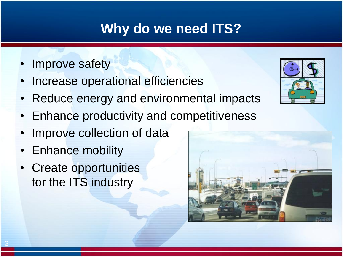### **Why do we need ITS?**

- Improve safety
- Increase operational efficiencies
- Reduce energy and environmental impacts
- Enhance productivity and competitiveness
- Improve collection of data
- Enhance mobility
- Create opportunities for the ITS industry



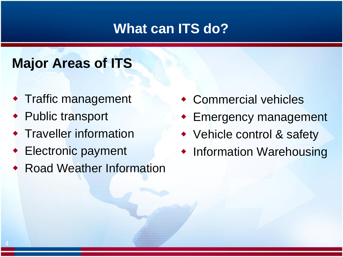### **What can ITS do?**

## **Major Areas of ITS**

- Traffic management
- ◆ Public transport
- **+ Traveller information**
- Electronic payment
- **Road Weather Information**
- Commercial vehicles
- Emergency management
- Vehicle control & safety
- Information Warehousing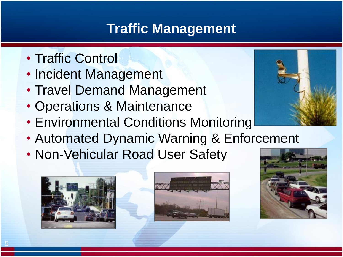### **Traffic Management**

- Traffic Control
- Incident Management
- Travel Demand Management
- Operations & Maintenance
- Environmental Conditions Monitoring
- Automated Dynamic Warning & Enforcement
- Non-Vehicular Road User Safety







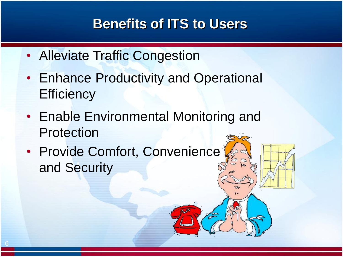### **Benefits of ITS to Users**

- Alleviate Traffic Congestion
- Enhance Productivity and Operational **Efficiency**
- Enable Environmental Monitoring and Protection
- Provide Comfort, Convenience and Security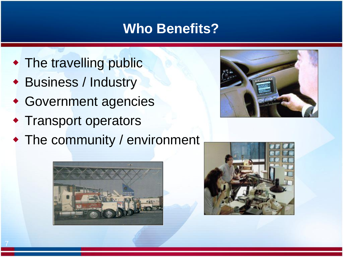### **Who Benefits?**

- The travelling public
- Business / Industry
- Government agencies
- **\* Transport operators**
- The community / environment





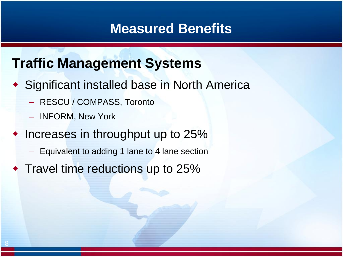### **Traffic Management Systems**

- Significant installed base in North America
	- RESCU / COMPASS, Toronto
	- INFORM, New York
- $\bullet$  Increases in throughput up to 25%
	- Equivalent to adding 1 lane to 4 lane section
- Travel time reductions up to 25%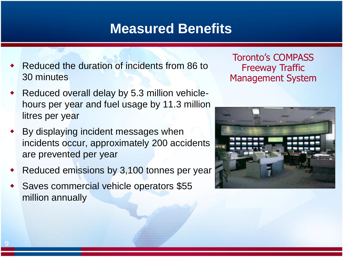- Reduced the duration of incidents from 86 to 30 minutes
- Reduced overall delay by 5.3 million vehiclehours per year and fuel usage by 11.3 million litres per year
- By displaying incident messages when incidents occur, approximately 200 accidents are prevented per year
- Reduced emissions by 3,100 tonnes per year
- Saves commercial vehicle operators \$55 million annually

Toronto's COMPASS Freeway Traffic Management System

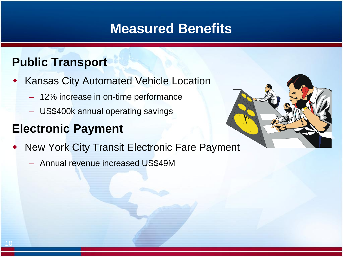#### **Public Transport**

- Kansas City Automated Vehicle Location
	- 12% increase in on-time performance
	- US\$400k annual operating savings

#### **Electronic Payment**

- New York City Transit Electronic Fare Payment
	- Annual revenue increased US\$49M

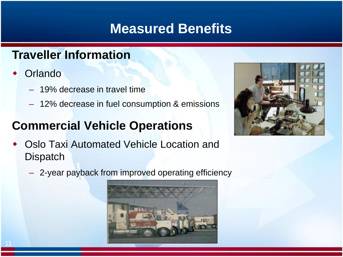#### **Traveller Information**

- **Orlando** 
	- 19% decrease in travel time
	- 12% decrease in fuel consumption & emissions

#### **Commercial Vehicle Operations**

 Oslo Taxi Automated Vehicle Location and **Dispatch** 



– 2-year payback from improved operating efficiency

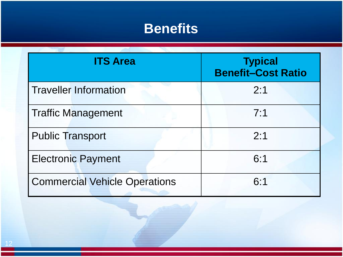### **Benefits**

| <b>ITS Area</b>                      | <b>Typical</b><br><b>Benefit-Cost Ratio</b> |
|--------------------------------------|---------------------------------------------|
| <b>Traveller Information</b>         | 2:1                                         |
| <b>Traffic Management</b>            | 7:1                                         |
| <b>Public Transport</b>              | 2:1                                         |
| <b>Electronic Payment</b>            | 6:1                                         |
| <b>Commercial Vehicle Operations</b> | 6:1                                         |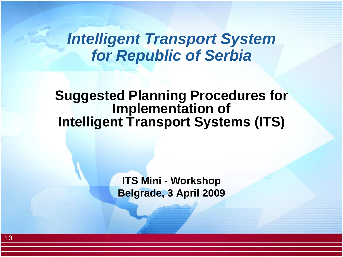### *Intelligent Transport System for Republic of Serbia*

**Suggested Planning Procedures for Implementation of Intelligent Transport Systems (ITS)**

> **ITS Mini - Workshop Belgrade, 3 April 2009**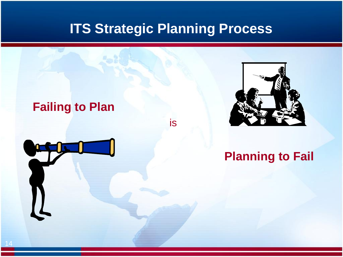### **ITS Strategic Planning Process**

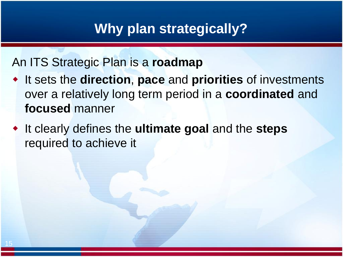#### **Why plan strategically?**

#### An ITS Strategic Plan is a **roadmap**

- It sets the **direction**, **pace** and **priorities** of investments over a relatively long term period in a **coordinated** and **focused** manner
- It clearly defines the **ultimate goal** and the **steps** required to achieve it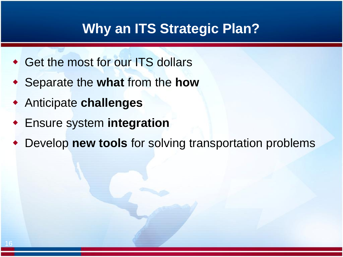#### **Why an ITS Strategic Plan?**

- Get the most for our ITS dollars
- Separate the **what** from the **how**
- Anticipate **challenges**
- Ensure system **integration**
- Develop **new tools** for solving transportation problems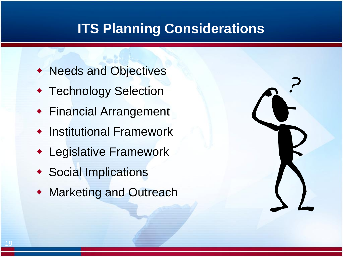### **ITS Planning Considerations**

- Needs and Objectives
- **\* Technology Selection**
- Financial Arrangement
- **Institutional Framework**
- Legislative Framework
- Social Implications
- Marketing and Outreach

|                 | $\overline{\phantom{0}}$ |
|-----------------|--------------------------|
| $\blacklozenge$ |                          |
|                 |                          |
|                 |                          |
|                 |                          |
|                 |                          |
|                 |                          |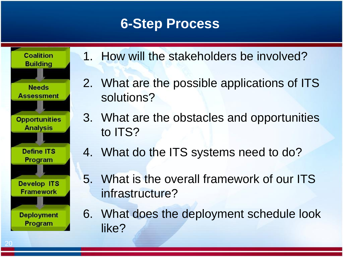### **6-Step Process**



- 1. How will the stakeholders be involved?
- 2. What are the possible applications of ITS solutions?
- 3. What are the obstacles and opportunities to ITS?
- 4. What do the ITS systems need to do?
- 5. What is the overall framework of our ITS infrastructure?
- 6. What does the deployment schedule look like?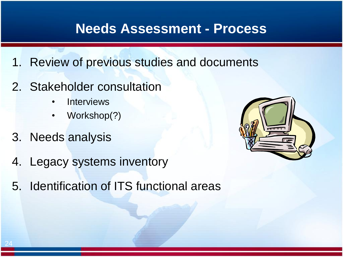#### **Needs Assessment - Process**

- 1. Review of previous studies and documents
- 2. Stakeholder consultation
	- **Interviews**
	- Workshop(?)
- 3. Needs analysis
- 4. Legacy systems inventory
- 5. Identification of ITS functional areas

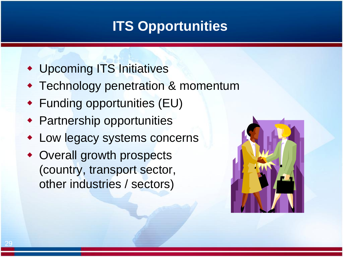## **ITS Opportunities**

- Upcoming ITS Initiatives
- Technology penetration & momentum
- Funding opportunities (EU)
- Partnership opportunities
- Low legacy systems concerns
- Overall growth prospects (country, transport sector, other industries / sectors)

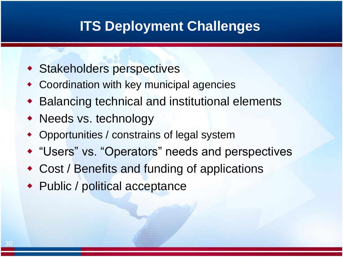### **ITS Deployment Challenges**

- Stakeholders perspectives
- Coordination with key municipal agencies
- Balancing technical and institutional elements
- Needs vs. technology
- Opportunities / constrains of legal system
- "Users" vs. "Operators" needs and perspectives
- Cost / Benefits and funding of applications
- ◆ Public / political acceptance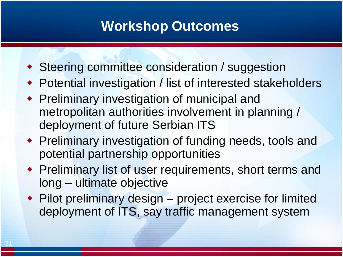### **Workshop Outcomes**

- ◆ Steering committee consideration / suggestion
- Potential investigation / list of interested stakeholders
- Preliminary investigation of municipal and metropolitan authorities involvement in planning / deployment of future Serbian ITS
- Preliminary investigation of funding needs, tools and potential partnership opportunities
- Preliminary list of user requirements, short terms and long – ultimate objective
- Pilot preliminary design project exercise for limited deployment of ITS, say traffic management system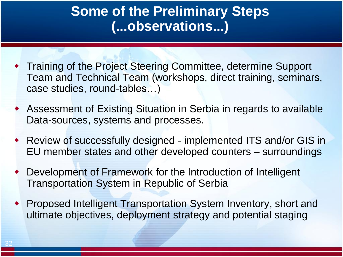### **Some of the Preliminary Steps (...observations...)**

- Training of the Project Steering Committee, determine Support Team and Technical Team (workshops, direct training, seminars, case studies, round-tables…)
- Assessment of Existing Situation in Serbia in regards to available Data-sources, systems and processes.
- Review of successfully designed implemented ITS and/or GIS in EU member states and other developed counters – surroundings
- Development of Framework for the Introduction of Intelligent Transportation System in Republic of Serbia
- Proposed Intelligent Transportation System Inventory, short and ultimate objectives, deployment strategy and potential staging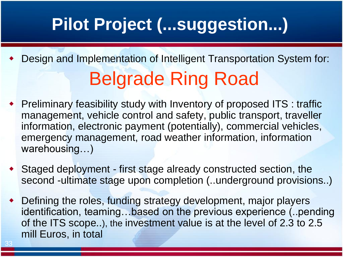# **Pilot Project (...suggestion...)**

- Design and Implementation of Intelligent Transportation System for: Belgrade Ring Road
- Preliminary feasibility study with Inventory of proposed ITS : traffic management, vehicle control and safety, public transport, traveller information, electronic payment (potentially), commercial vehicles, emergency management, road weather information, information warehousing…)
- Staged deployment first stage already constructed section, the second -ultimate stage upon completion (..underground provisions..)
- Defining the roles, funding strategy development, major players identification, teaming…based on the previous experience (..pending of the ITS scope..), the investment value is at the level of 2.3 to 2.5 mill Euros, in total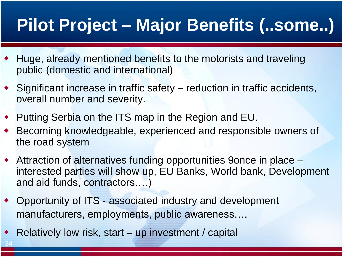## **Pilot Project – Major Benefits (..some..)**

- Huge, already mentioned benefits to the motorists and traveling public (domestic and international)
- Significant increase in traffic safety reduction in traffic accidents, overall number and severity.
- Putting Serbia on the ITS map in the Region and EU.
- Becoming knowledgeable, experienced and responsible owners of the road system
- Attraction of alternatives funding opportunities 9once in place interested parties will show up, EU Banks, World bank, Development and aid funds, contractors….)
- Opportunity of ITS associated industry and development manufacturers, employments, public awareness….
- Relatively low risk, start up investment / capital

34